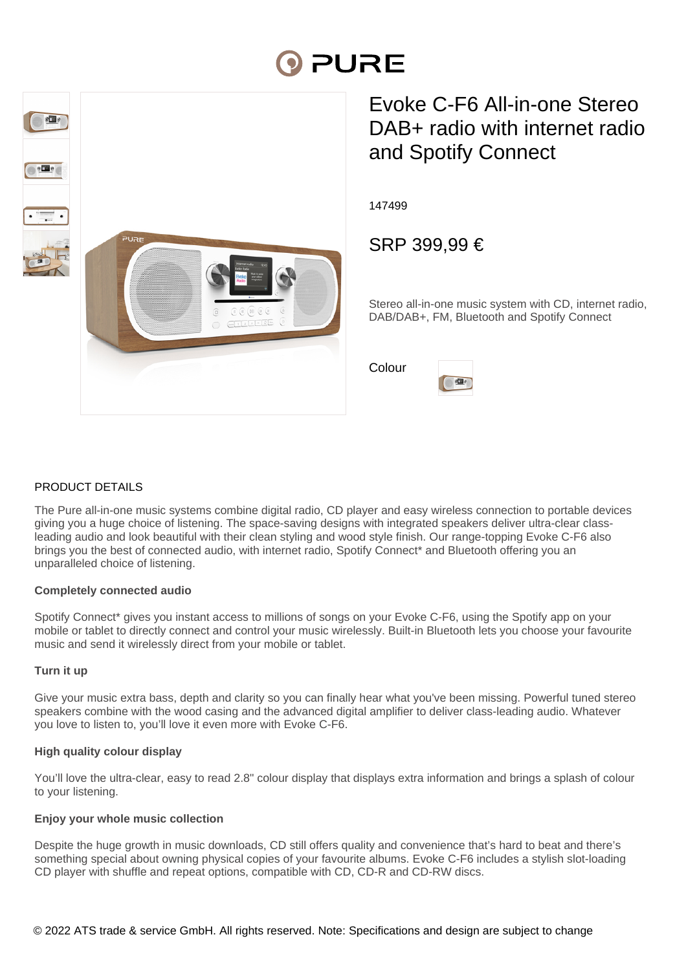# **DIPURE**



# Evoke C-F6 All-in-one Stereo DAB+ radio with internet radio and Spotify Connect

147499

SRP 399,99 €

 $s \Box s$ 

Stereo all-in-one music system with CD, internet radio, DAB/DAB+, FM, Bluetooth and Spotify Connect

Colour



The Pure all-in-one music systems combine digital radio, CD player and easy wireless connection to portable devices giving you a huge choice of listening. The space-saving designs with integrated speakers deliver ultra-clear classleading audio and look beautiful with their clean styling and wood style finish. Our range-topping Evoke C-F6 also brings you the best of connected audio, with internet radio, Spotify Connect\* and Bluetooth offering you an unparalleled choice of listening.

# **Completely connected audio**

Spotify Connect\* gives you instant access to millions of songs on your Evoke C-F6, using the Spotify app on your mobile or tablet to directly connect and control your music wirelessly. Built-in Bluetooth lets you choose your favourite music and send it wirelessly direct from your mobile or tablet.

# **Turn it up**

Give your music extra bass, depth and clarity so you can finally hear what you've been missing. Powerful tuned stereo speakers combine with the wood casing and the advanced digital amplifier to deliver class-leading audio. Whatever you love to listen to, you'll love it even more with Evoke C-F6.

# **High quality colour display**

You'll love the ultra-clear, easy to read 2.8" colour display that displays extra information and brings a splash of colour to your listening.

# **Enjoy your whole music collection**

Despite the huge growth in music downloads, CD still offers quality and convenience that's hard to beat and there's something special about owning physical copies of your favourite albums. Evoke C-F6 includes a stylish slot-loading CD player with shuffle and repeat options, compatible with CD, CD-R and CD-RW discs.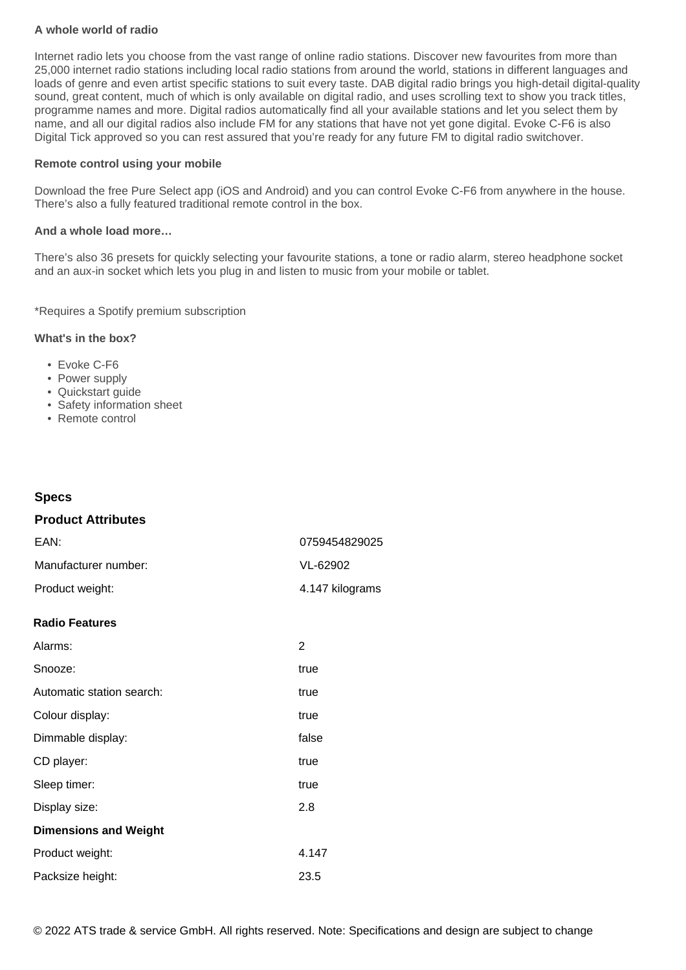# **A whole world of radio**

Internet radio lets you choose from the vast range of online radio stations. Discover new favourites from more than 25,000 internet radio stations including local radio stations from around the world, stations in different languages and loads of genre and even artist specific stations to suit every taste. DAB digital radio brings you high-detail digital-quality sound, great content, much of which is only available on digital radio, and uses scrolling text to show you track titles, programme names and more. Digital radios automatically find all your available stations and let you select them by name, and all our digital radios also include FM for any stations that have not yet gone digital. Evoke C-F6 is also Digital Tick approved so you can rest assured that you're ready for any future FM to digital radio switchover.

#### **Remote control using your mobile**

Download the free Pure Select app (iOS and Android) and you can control Evoke C-F6 from anywhere in the house. There's also a fully featured traditional remote control in the box.

#### **And a whole load more…**

There's also 36 presets for quickly selecting your favourite stations, a tone or radio alarm, stereo headphone socket and an aux-in socket which lets you plug in and listen to music from your mobile or tablet.

\*Requires a Spotify premium subscription

### **What's in the box?**

- Evoke C-F6
- Power supply
- Quickstart guide
- Safety information sheet
- Remote control

# **Specs**

# **Product Attributes**

| EAN:                 | 0759454829025   |
|----------------------|-----------------|
| Manufacturer number: | VL-62902        |
| Product weight:      | 4.147 kilograms |

#### **Radio Features**

| Alarms:                      | 2     |
|------------------------------|-------|
| Snooze:                      | true  |
| Automatic station search:    | true  |
| Colour display:              | true  |
| Dimmable display:            | false |
| CD player:                   | true  |
| Sleep timer:                 | true  |
| Display size:                | 2.8   |
| <b>Dimensions and Weight</b> |       |
| Product weight:              | 4.147 |
| Packsize height:             | 23.5  |